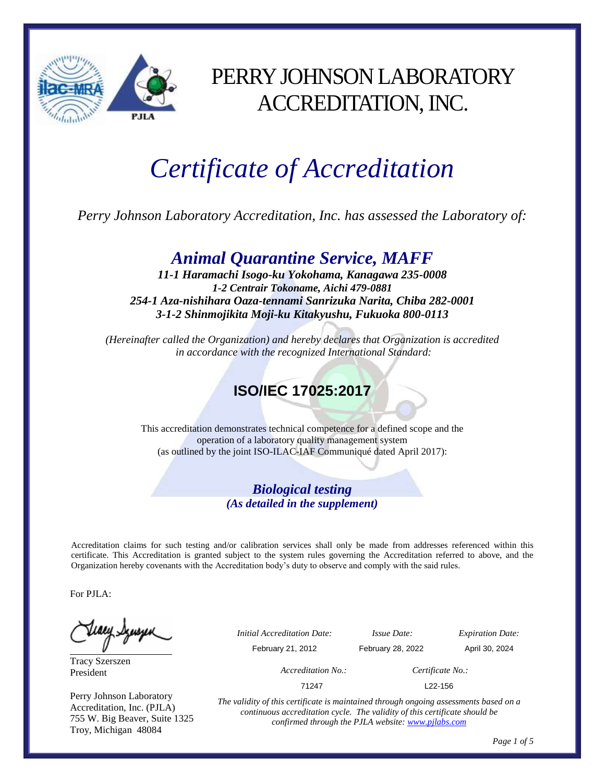

## PERRY JOHNSON LABORATORY ACCREDITATION, INC.

# *Certificate of Accreditation*

*Perry Johnson Laboratory Accreditation, Inc. has assessed the Laboratory of:*

### *Animal Quarantine Service, MAFF*

*11-1 Haramachi Isogo-ku Yokohama, Kanagawa 235-0008 1-2 Centrair Tokoname, Aichi 479-0881 254-1 Aza-nishihara Oaza-tennami Sanrizuka Narita, Chiba 282-0001 3-1-2 Shinmojikita Moji-ku Kitakyushu, Fukuoka 800-0113*

*(Hereinafter called the Organization) and hereby declares that Organization is accredited in accordance with the recognized International Standard:*

### **ISO/IEC 17025:2017**

This accreditation demonstrates technical competence for a defined scope and the operation of a laboratory quality management system (as outlined by the joint ISO-ILAC-IAF Communiqué dated April 2017):

#### *Biological testing (As detailed in the supplement)*

Accreditation claims for such testing and/or calibration services shall only be made from addresses referenced within this certificate. This Accreditation is granted subject to the system rules governing the Accreditation referred to above, and the Organization hereby covenants with the Accreditation body's duty to observe and comply with the said rules.

For PJLA:

Tracy Szerszen President

Perry Johnson Laboratory Accreditation, Inc. (PJLA) 755 W. Big Beaver, Suite 1325 Troy, Michigan 48084

*Initial Accreditation Date: Issue Date: Expiration Date:*

February 21, 2012 February 28, 2022 April 30, 2024

*Accreditation No.: Certificate No.:*

71247 L22-156

*The validity of this certificate is maintained through ongoing assessments based on a continuous accreditation cycle. The validity of this certificate should be confirmed through the PJLA website[: www.pjlabs.com](http://www.pjlabs.com/)*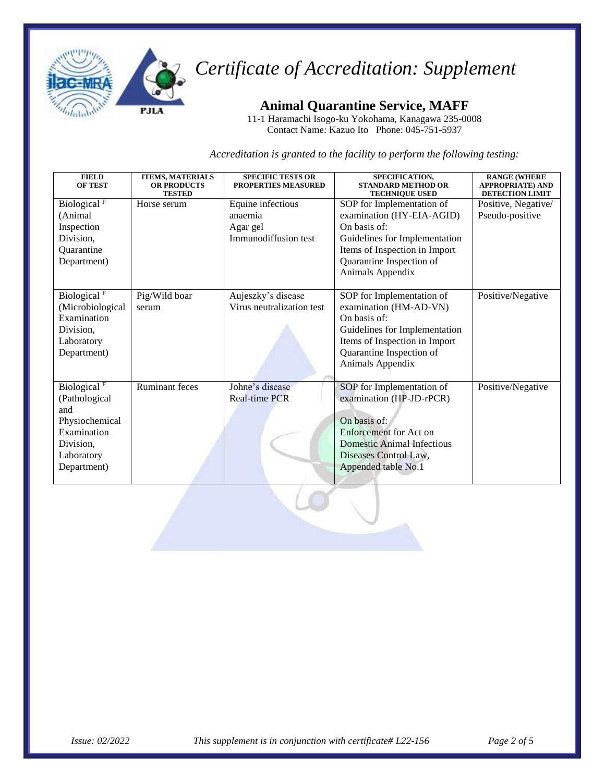

**Animal Quarantine Service, MAFF** 

11-1 Haramachi Isogo-ku Yokohama, Kanagawa 235-0008 Contact Name: Kazuo Ito Phone: 045-751-5937

*Accreditation is granted to the facility to perform the following testing:*

| <b>FIELD</b><br><b>OF TEST</b> | <b>ITEMS, MATERIALS</b><br><b>OR PRODUCTS</b><br><b>TESTED</b> | <b>SPECIFIC TESTS OR</b><br><b>PROPERTIES MEASURED</b> | SPECIFICATION,<br><b>STANDARD METHOD OR</b><br><b>TECHNIQUE USED</b> | <b>RANGE (WHERE</b><br><b>APPROPRIATE) AND</b><br><b>DETECTION LIMIT</b> |
|--------------------------------|----------------------------------------------------------------|--------------------------------------------------------|----------------------------------------------------------------------|--------------------------------------------------------------------------|
| Biological <sup>F</sup>        | Horse serum                                                    | Equine infectious                                      | SOP for Implementation of                                            | Positive, Negative/                                                      |
| (Animal                        |                                                                | anaemia                                                | examination (HY-EIA-AGID)                                            | Pseudo-positive                                                          |
| Inspection                     |                                                                | Agar gel                                               | On basis of:                                                         |                                                                          |
| Division,                      |                                                                | Immunodiffusion test                                   | Guidelines for Implementation                                        |                                                                          |
| Quarantine                     |                                                                |                                                        | Items of Inspection in Import                                        |                                                                          |
| Department)                    |                                                                |                                                        | Quarantine Inspection of                                             |                                                                          |
|                                |                                                                |                                                        | Animals Appendix                                                     |                                                                          |
|                                |                                                                |                                                        |                                                                      |                                                                          |
| Biological <sup>F</sup>        | Pig/Wild boar                                                  | Aujeszky's disease                                     | SOP for Implementation of                                            | Positive/Negative                                                        |
| (Microbiological               | serum                                                          | Virus neutralization test                              | examination (HM-AD-VN)                                               |                                                                          |
| Examination                    |                                                                |                                                        | On basis of:                                                         |                                                                          |
| Division,                      |                                                                |                                                        | Guidelines for Implementation                                        |                                                                          |
| Laboratory                     |                                                                |                                                        | Items of Inspection in Import                                        |                                                                          |
| Department)                    |                                                                |                                                        | Quarantine Inspection of                                             |                                                                          |
|                                |                                                                |                                                        | Animals Appendix                                                     |                                                                          |
|                                |                                                                |                                                        |                                                                      |                                                                          |
| Biological <sup>F</sup>        | <b>Ruminant</b> feces                                          | Johne's disease                                        | SOP for Implementation of                                            | Positive/Negative                                                        |
| (Pathological                  |                                                                | <b>Real-time PCR</b>                                   | examination (HP-JD-rPCR)                                             |                                                                          |
| and                            |                                                                |                                                        |                                                                      |                                                                          |
| Physiochemical                 |                                                                |                                                        | On basis of:                                                         |                                                                          |
| Examination                    |                                                                |                                                        | Enforcement for Act on                                               |                                                                          |
| Division,                      |                                                                |                                                        | <b>Domestic Animal Infectious</b>                                    |                                                                          |
| Laboratory                     |                                                                |                                                        | Diseases Control Law,                                                |                                                                          |
| Department)                    |                                                                |                                                        | Appended table No.1                                                  |                                                                          |
|                                |                                                                |                                                        |                                                                      |                                                                          |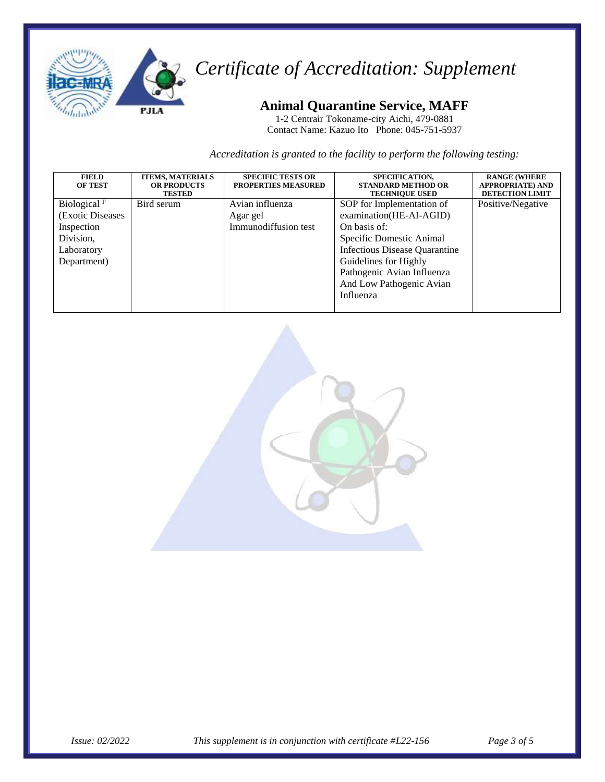

### **Animal Quarantine Service, MAFF**

1-2 Centrair Tokoname-city Aichi, 479-0881 Contact Name: Kazuo Ito Phone: 045-751-5937

*Accreditation is granted to the facility to perform the following testing:*

| <b>FIELD</b><br><b>OF TEST</b>                                                              | <b>ITEMS, MATERIALS</b><br><b>OR PRODUCTS</b><br><b>TESTED</b> | <b>SPECIFIC TESTS OR</b><br><b>PROPERTIES MEASURED</b> | SPECIFICATION,<br><b>STANDARD METHOD OR</b><br><b>TECHNIQUE USED</b>                                                                                                                                                                     | <b>RANGE (WHERE</b><br><b>APPROPRIATE) AND</b><br><b>DETECTION LIMIT</b> |
|---------------------------------------------------------------------------------------------|----------------------------------------------------------------|--------------------------------------------------------|------------------------------------------------------------------------------------------------------------------------------------------------------------------------------------------------------------------------------------------|--------------------------------------------------------------------------|
| Biological $F$<br>(Exotic Diseases)<br>Inspection<br>Division,<br>Laboratory<br>Department) | Bird serum                                                     | Avian influenza<br>Agar gel<br>Immunodiffusion test    | SOP for Implementation of<br>examination(HE-AI-AGID)<br>On basis of:<br>Specific Domestic Animal<br><b>Infectious Disease Quarantine</b><br>Guidelines for Highly<br>Pathogenic Avian Influenza<br>And Low Pathogenic Avian<br>Influenza | Positive/Negative                                                        |

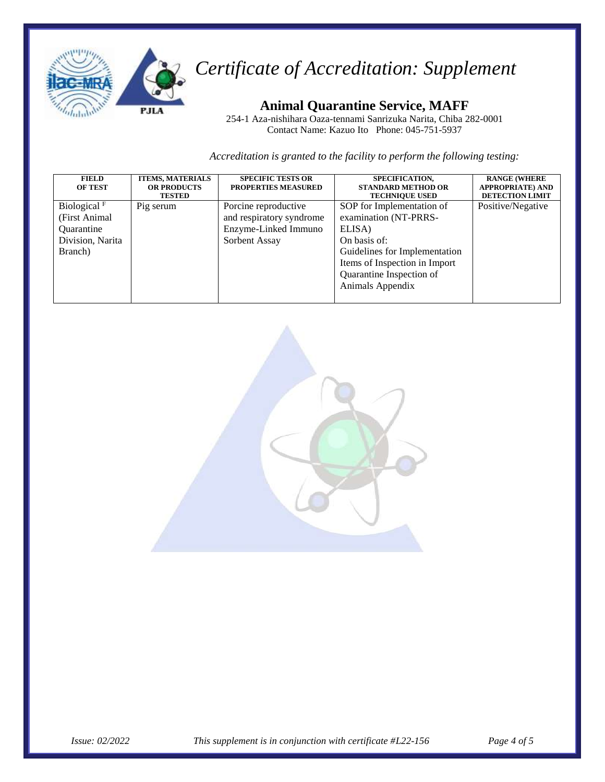

#### **Animal Quarantine Service, MAFF**

254-1 Aza-nishihara Oaza-tennami Sanrizuka Narita, Chiba 282-0001 Contact Name: Kazuo Ito Phone: 045-751-5937

*Accreditation is granted to the facility to perform the following testing:*

| <b>FIELD</b><br><b>OF TEST</b>                                                                | <b>ITEMS, MATERIALS</b><br><b>OR PRODUCTS</b><br><b>TESTED</b> | <b>SPECIFIC TESTS OR</b><br><b>PROPERTIES MEASURED</b>                                    | SPECIFICATION,<br><b>STANDARD METHOD OR</b><br><b>TECHNIQUE USED</b>                                                                                                                           | <b>RANGE (WHERE</b><br><b>APPROPRIATE) AND</b><br><b>DETECTION LIMIT</b> |
|-----------------------------------------------------------------------------------------------|----------------------------------------------------------------|-------------------------------------------------------------------------------------------|------------------------------------------------------------------------------------------------------------------------------------------------------------------------------------------------|--------------------------------------------------------------------------|
| Biological <sup>F</sup><br>(First Animal)<br><b>Ouarantine</b><br>Division, Narita<br>Branch) | Pig serum                                                      | Porcine reproductive<br>and respiratory syndrome<br>Enzyme-Linked Immuno<br>Sorbent Assay | SOP for Implementation of<br>examination (NT-PRRS-<br>ELISA)<br>On basis of:<br>Guidelines for Implementation<br>Items of Inspection in Import<br>Quarantine Inspection of<br>Animals Appendix | Positive/Negative                                                        |
|                                                                                               |                                                                |                                                                                           |                                                                                                                                                                                                |                                                                          |

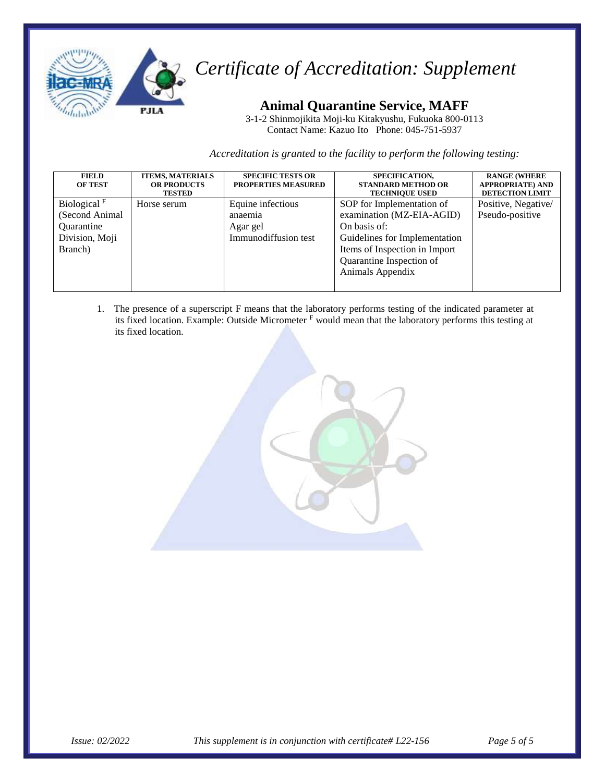

#### **Animal Quarantine Service, MAFF**

3-1-2 Shinmojikita Moji-ku Kitakyushu, Fukuoka 800-0113 Contact Name: Kazuo Ito Phone: 045-751-5937

*Accreditation is granted to the facility to perform the following testing:*

| <b>FIELD</b><br><b>OF TEST</b>                                              | <b>ITEMS, MATERIALS</b><br><b>OR PRODUCTS</b><br><b>TESTED</b> | <b>SPECIFIC TESTS OR</b><br><b>PROPERTIES MEASURED</b>           | SPECIFICATION,<br><b>STANDARD METHOD OR</b><br><b>TECHNIQUE USED</b>                                                                                                                     | <b>RANGE (WHERE</b><br><b>APPROPRIATE) AND</b><br><b>DETECTION LIMIT</b> |
|-----------------------------------------------------------------------------|----------------------------------------------------------------|------------------------------------------------------------------|------------------------------------------------------------------------------------------------------------------------------------------------------------------------------------------|--------------------------------------------------------------------------|
| Biological $F$<br>(Second Animal<br>Quarantine<br>Division, Moji<br>Branch) | Horse serum                                                    | Equine infectious<br>anaemia<br>Agar gel<br>Immunodiffusion test | SOP for Implementation of<br>examination (MZ-EIA-AGID)<br>On basis of:<br>Guidelines for Implementation<br>Items of Inspection in Import<br>Quarantine Inspection of<br>Animals Appendix | Positive, Negative/<br>Pseudo-positive                                   |

1. The presence of a superscript F means that the laboratory performs testing of the indicated parameter at its fixed location. Example: Outside Micrometer <sup>F</sup> would mean that the laboratory performs this testing at its fixed location.

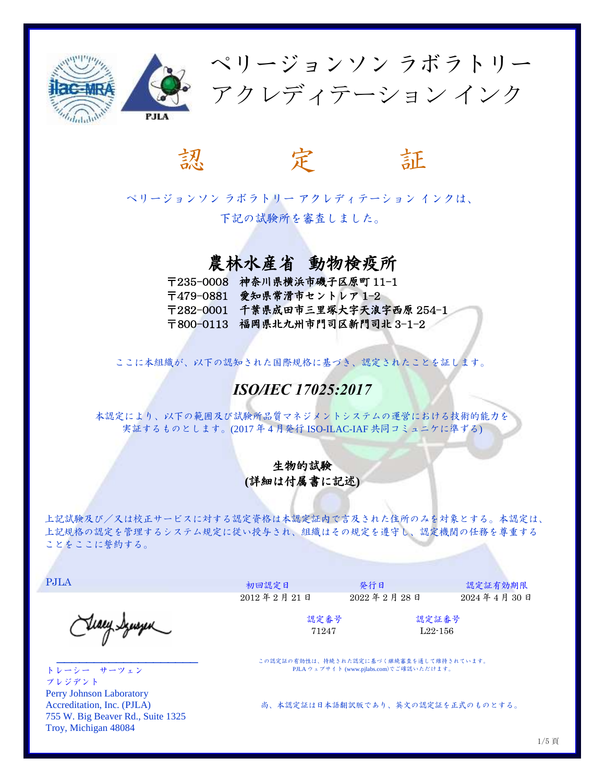



ペリージョンソン ラボラトリー アクレディテーション インクは、 下記の試験所を審査しました。

### 農林水産省 動物検疫所

- 〒235-0008 神奈川県横浜市磯子区原町 11-1
- 〒479-0881 愛知県常滑市セントレア 1-2
- 〒282-0001 千葉県成田市三里塚大字天浪字西原 254-1

〒800-0113 福岡県北九州市門司区新門司北 3-1-2

ここに本組織が、以下の認知された国際規格に基づき、認定されたことを証します。

#### *ISO/IEC 17025:2017*

本認定により、以下の範囲及び試験所品質マネジメントシステムの運営における技術的能力を 実証するものとします。(2017 年 4 月発行 ISO-ILAC-IAF 共同コミュニケに準ずる)

#### 生物的試験 **(**詳細は付属書に記述**)**

上記試験及び/又は校正サービスに対する認定資格は本認定証内で言及された住所のみを対象とする。本認定は、 上記規格の認定を管理するシステム規定に従い授与され、組織はその規定を遵守し、認定機関の任務を尊重する ことをここに誓約する。

PJLA

Steaey Synsyn

 $\overline{\phantom{a}}$  , where  $\overline{\phantom{a}}$  , where  $\overline{\phantom{a}}$  , where  $\overline{\phantom{a}}$  ,  $\overline{\phantom{a}}$  ,  $\overline{\phantom{a}}$  ,  $\overline{\phantom{a}}$  ,  $\overline{\phantom{a}}$  ,  $\overline{\phantom{a}}$  ,  $\overline{\phantom{a}}$  ,  $\overline{\phantom{a}}$  ,  $\overline{\phantom{a}}$  ,  $\overline{\phantom{a}}$  ,  $\overline{\phantom{a}}$  ,  $\overline{\phantom$ 

トレーシー サーツェン プレジデント Perry Johnson Laboratory Accreditation, Inc. (PJLA) 755 W. Big Beaver Rd., Suite 1325 Troy, Michigan 48084

2012 年 2 月 21 日 2022 年 2 月 28 日 2024 年 4 月 30 日

初回認定日 認定証有効期限

 認定番号 認定証番号 71247 L22-156

この認定証の有効性は、持続された認定に基づく継続審査を通して維持されています。 PJLA ウェブサイト (www.pjlabs.com)でご確認いただけます。

尚、本認定証は日本語翻訳版であり、英文の認定証を正式のものとする。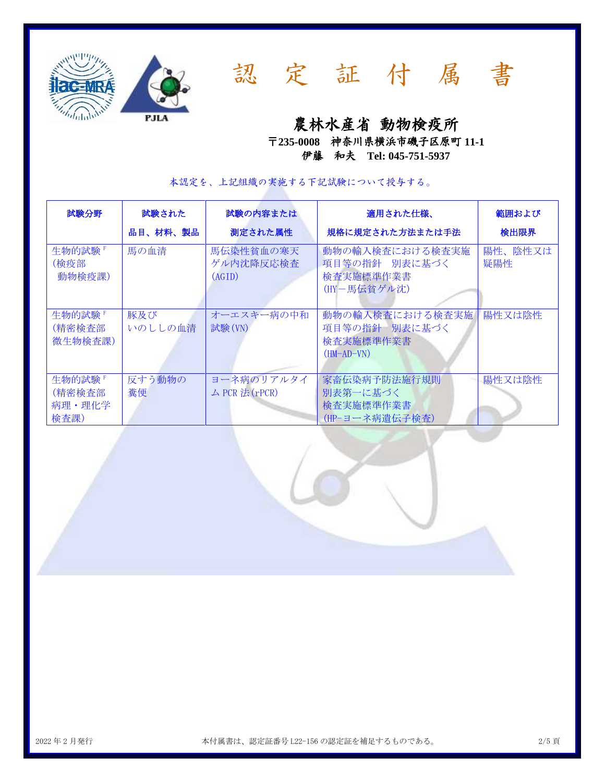



認 定 証 付 属 書

農林水産省動物検疫所

〒**235-0008** 神奈川県横浜市磯子区原町 **11-1** 伊藤 和夫 **Tel: 045-751-5937**

本認定を、上記組織の実施する下記試験について授与する。

| 試験分野                                | 試験された<br>品目、材料、製品 | 試験の内容または<br>測定された属性              | 適用された仕様、<br>規格に規定された方法または手法                                   | 範囲および<br>検出限界  |
|-------------------------------------|-------------------|----------------------------------|---------------------------------------------------------------|----------------|
| 生物的試験 『<br>(検疫部<br>動物検疫課)           | 馬の血清              | 馬伝染性貧血の寒天<br>ゲル内沈降反応検査<br>(AGID) | 動物の輸入検査における検査実施<br>項目等の指針 別表に基づく<br>検査実施標準作業書<br>(HY-馬伝貧ゲル沈)  | 陽性、陰性又は<br>疑陽性 |
| 生物的試験 『<br>(精密検査部<br>微生物検査課)        | 豚及び<br>いのししの血清    | オーエスキー病の中和<br>試験(VN)             | 動物の輸入検査における検査実施<br>項目等の指針 別表に基づく<br>検査実施標準作業書<br>$(HM-AD-VN)$ | 陽性又は陰性         |
| 生物的試験 『<br>(精密検査部<br>病理·理化学<br>検査課) | 反すう動物の<br>糞便      | ヨーネ病のリアルタイ<br>ム PCR 法 (rPCR)     | 家畜伝染病予防法施行規則<br>別表第一に基づく<br>検査実施標準作業書<br>(HP-ヨーネ病遺伝子検査)       | 陽性又は陰性         |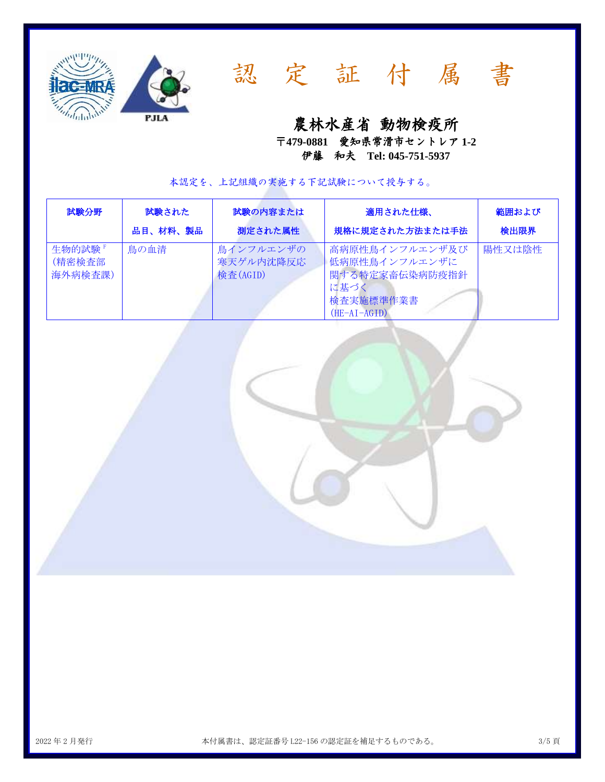



# 認 定 証 付 属 書

農林水産省動物検疫所

〒**479-0881** 愛知県常滑市セントレア **1-2** 伊藤 和夫 **Tel: 045-751-5937**

本認定を、上記組織の実施する下記試験について授与する。

| 試験分野                         | 試験された    | 試験の内容または                           | 適用された仕様、                                                                                 | 範囲および  |
|------------------------------|----------|------------------------------------|------------------------------------------------------------------------------------------|--------|
|                              | 品目、材料、製品 | 測定された属性                            | 規格に規定された方法または手法                                                                          | 検出限界   |
| 生物的試験 『<br>(精密検査部<br>海外病検査課) | 鳥の血清     | 鳥インフルエンザの<br>寒天ゲル内沈降反応<br>検査(AGID) | 高病原性鳥インフルエンザ及び<br>低病原性鳥インフルエンザに<br>関する特定家畜伝染病防疫指針<br>に基づく<br>検査実施標準作業書<br>$(HE-AI-AGID)$ | 陽性又は陰性 |

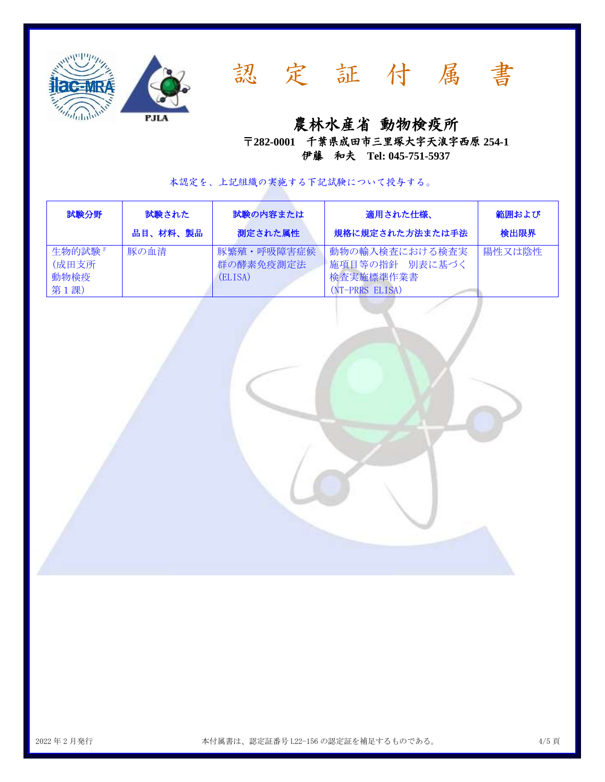



農林水産省動物検疫所

〒**282-0001** 千葉県成田市三里塚大字天浪字西原 **254-1** 伊藤 和夫 **Tel: 045-751-5937**

本認定を、上記組織の実施する下記試験について授与する。

| 試験分野                             | 試験された    | 試験の内容または                           | 適用された仕様、                                                          | 範囲および  |
|----------------------------------|----------|------------------------------------|-------------------------------------------------------------------|--------|
|                                  | 品目、材料、製品 | 測定された属性                            | 規格に規定された方法または手法                                                   | 検出限界   |
| 生物的試験 『<br>(成田支所<br>動物検疫<br>第1課) | 豚の血清     | 豚繁殖・呼吸障害症候<br>群の酵素免疫測定法<br>(ELISA) | 動物の輸入検査における検査実<br>│施項目等の指針 別表に基づく<br>検査実施標準作業書<br>(NT-PRRS ELISA) | 陽性又は陰性 |